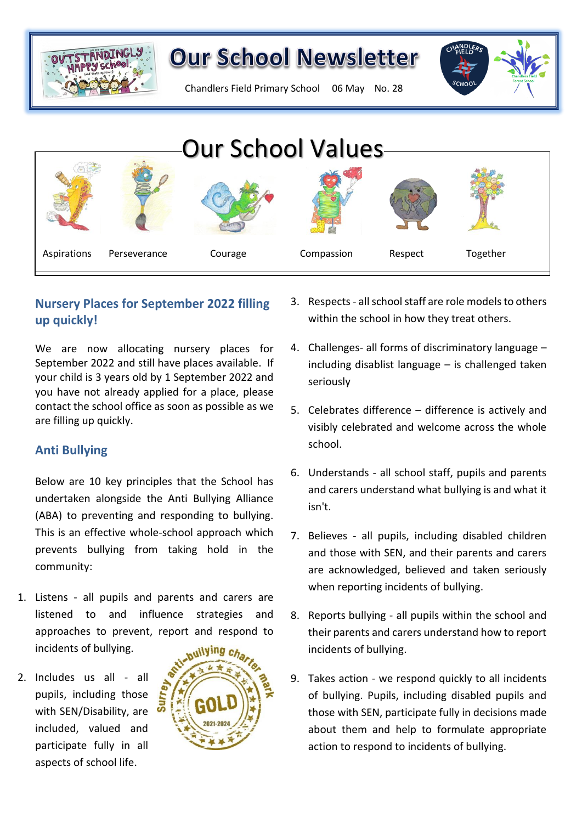

Chandlers Field Primary School 06 May No. 28



## **Nursery Places for September 2022 filling up quickly!**

We are now allocating nursery places for September 2022 and still have places available. If your child is 3 years old by 1 September 2022 and  $\frac{1}{1}$  seriously you have not already applied for a place, please contact the school office as soon as possible as we are filling up quickly.

### **Anti Bullying**

Below are 10 key principles that the School has undertaken alongside the Anti Bullying Alliance (ABA) to preventing and responding to bullying. This is an effective whole-school approach which prevents bullying from taking hold in the community:

- 1. Listens all pupils and parents and carers are listened to and influence strategies and approaches to prevent, report and respond to incidents of bullying.
- 2. Includes us all all pupils, including those with SEN/Disability, are included, valued and participate fully in all aspects of school life.



- 3. Respects- all school staff are role models to others within the school in how they treat others.
- 4. Challenges- all forms of discriminatory language including disablist language – is challenged taken seriously
- 5. Celebrates difference difference is actively and visibly celebrated and welcome across the whole school.
- 6. Understands all school staff, pupils and parents and carers understand what bullying is and what it isn't.
- 7. Believes all pupils, including disabled children and those with SEN, and their parents and carers are acknowledged, believed and taken seriously when reporting incidents of bullying.
- 8. Reports bullying all pupils within the school and their parents and carers understand how to report incidents of bullying.
- 9. Takes action we respond quickly to all incidents of bullying. Pupils, including disabled pupils and those with SEN, participate fully in decisions made about them and help to formulate appropriate action to respond to incidents of bullying.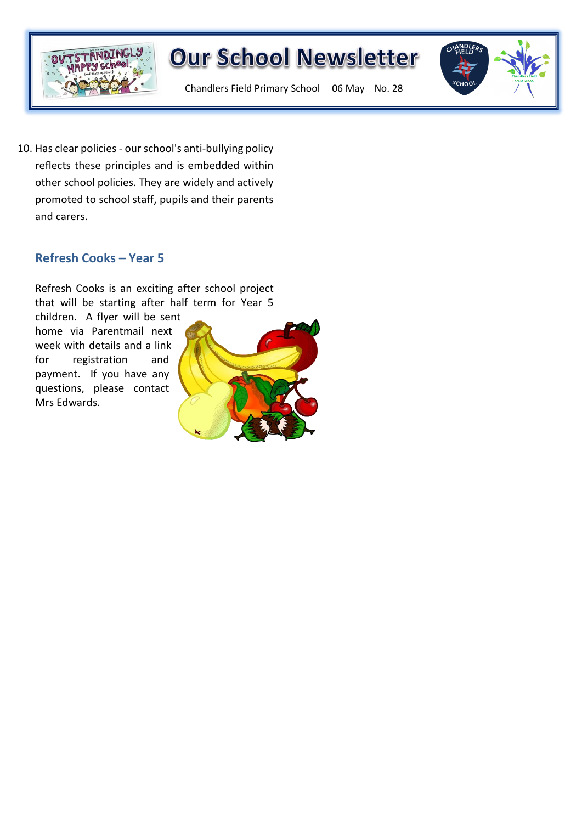



Chandlers Field Primary School 06 May No. 28

10. Has clear policies - our school's anti-bullying policy reflects these principles and is embedded within other school policies. They are widely and actively promoted to school staff, pupils and their parents and carers.

### **Refresh Cooks – Year 5**

Refresh Cooks is an exciting after school project that will be starting after half term for Year 5

children. A flyer will be sent home via Parentmail next week with details and a link for registration and payment. If you have any questions, please contact Mrs Edwards.

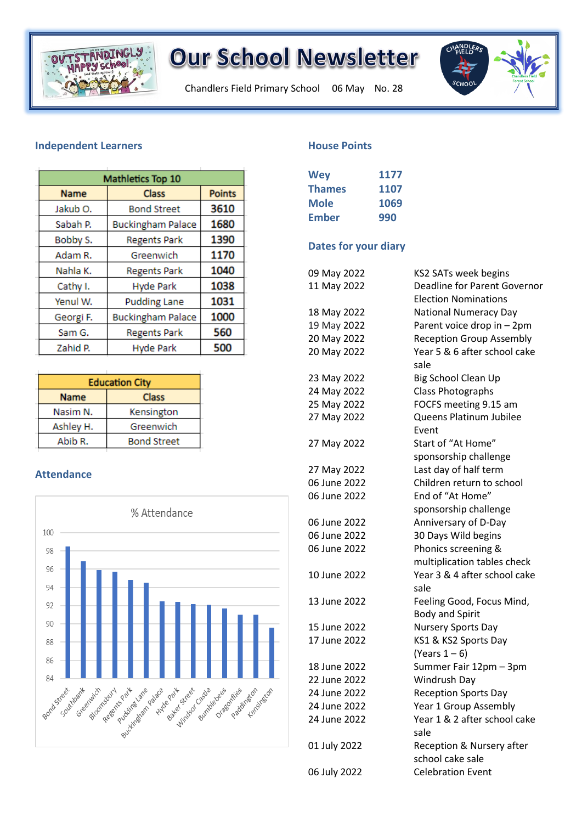

Chandlers Field Primary School 06 May No. 28



#### **Independent Learners**

| Mathletics Top 10 |                          |               |
|-------------------|--------------------------|---------------|
| <b>Name</b>       | <b>Class</b>             | <b>Points</b> |
| Jakub O.          | <b>Bond Street</b>       | 3610          |
| Sabah P.          | <b>Buckingham Palace</b> | 1680          |
| Bobby S.          | <b>Regents Park</b>      | 1390          |
| Adam R.           | Greenwich                | 1170          |
| Nahla K.          | <b>Regents Park</b>      | 1040          |
| Cathy I.          | <b>Hyde Park</b>         | 1038          |
| Yenul W.          | <b>Pudding Lane</b>      | 1031          |
| Georgi F.         | <b>Buckingham Palace</b> | 1000          |
| Sam G.            | <b>Regents Park</b>      | 560           |
| Zahid P.          | <b>Hyde Park</b>         | 500           |
|                   |                          |               |

| <b>Education City</b> |                    |  |
|-----------------------|--------------------|--|
| <b>Name</b>           | <b>Class</b>       |  |
| Nasim N.              | Kensington         |  |
| Ashley H.             | Greenwich          |  |
| Abib R.               | <b>Bond Street</b> |  |

#### **Attendance**



#### **House Points**

| <b>Wey</b>    | 1177 |
|---------------|------|
| <b>Thames</b> | 1107 |
| <b>Mole</b>   | 1069 |
| Ember         | 990  |
|               |      |

#### **Dates for your diary**

| 09 May 2022  | KS2 SATs week begins                                        |
|--------------|-------------------------------------------------------------|
| 11 May 2022  | Deadline for Parent Governor<br><b>Election Nominations</b> |
| 18 May 2022  | <b>National Numeracy Day</b>                                |
| 19 May 2022  | Parent voice drop in - 2pm                                  |
| 20 May 2022  | <b>Reception Group Assembly</b>                             |
| 20 May 2022  | Year 5 & 6 after school cake                                |
|              | sale                                                        |
| 23 May 2022  | Big School Clean Up                                         |
| 24 May 2022  | <b>Class Photographs</b>                                    |
| 25 May 2022  | FOCFS meeting 9.15 am                                       |
| 27 May 2022  | Queens Platinum Jubilee                                     |
|              | Event                                                       |
| 27 May 2022  | Start of "At Home"                                          |
|              | sponsorship challenge                                       |
| 27 May 2022  | Last day of half term                                       |
| 06 June 2022 | Children return to school                                   |
| 06 June 2022 | End of "At Home"                                            |
|              | sponsorship challenge                                       |
| 06 June 2022 | Anniversary of D-Day                                        |
| 06 June 2022 | 30 Days Wild begins                                         |
| 06 June 2022 | Phonics screening &                                         |
|              | multiplication tables check                                 |
| 10 June 2022 | Year 3 & 4 after school cake                                |
|              | sale                                                        |
| 13 June 2022 | Feeling Good, Focus Mind,                                   |
|              | <b>Body and Spirit</b>                                      |
| 15 June 2022 | Nursery Sports Day                                          |
| 17 June 2022 | KS1 & KS2 Sports Day                                        |
|              | (Years $1-6$ )                                              |
| 18 June 2022 | Summer Fair 12pm - 3pm                                      |
| 22 June 2022 | Windrush Day                                                |
| 24 June 2022 | <b>Reception Sports Day</b>                                 |
| 24 June 2022 | Year 1 Group Assembly                                       |
| 24 June 2022 | Year 1 & 2 after school cake                                |
|              | sale                                                        |
| 01 July 2022 | Reception & Nursery after                                   |
|              | school cake sale                                            |
| 06 July 2022 | <b>Celebration Event</b>                                    |
|              |                                                             |